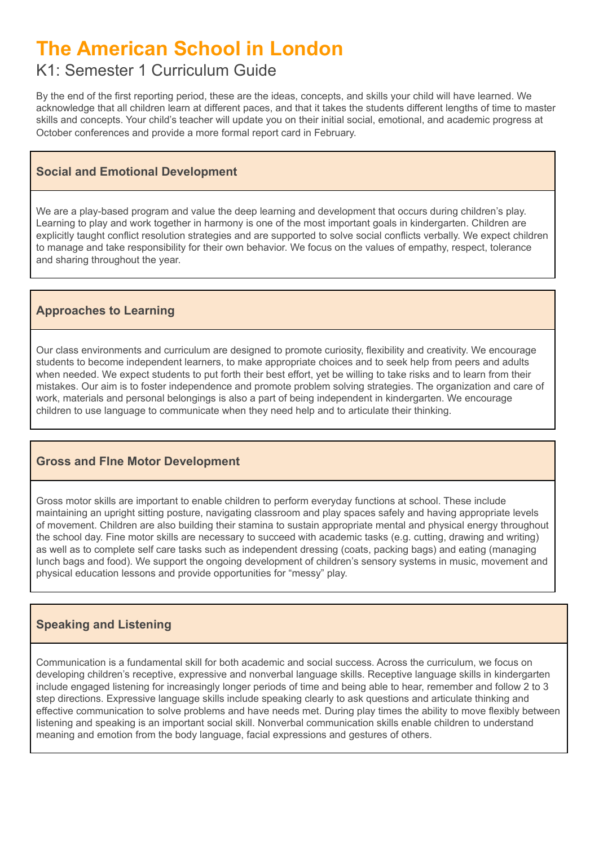# **The American School in London**

# K1: Semester 1 Curriculum Guide

By the end of the first reporting period, these are the ideas, concepts, and skills your child will have learned. We acknowledge that all children learn at different paces, and that it takes the students different lengths of time to master skills and concepts. Your child's teacher will update you on their initial social, emotional, and academic progress at October conferences and provide a more formal report card in February.

## **Social and Emotional Development**

We are a play-based program and value the deep learning and development that occurs during children's play. Learning to play and work together in harmony is one of the most important goals in kindergarten. Children are explicitly taught conflict resolution strategies and are supported to solve social conflicts verbally. We expect children to manage and take responsibility for their own behavior. We focus on the values of empathy, respect, tolerance and sharing throughout the year.

# **Approaches to Learning**

Our class environments and curriculum are designed to promote curiosity, flexibility and creativity. We encourage students to become independent learners, to make appropriate choices and to seek help from peers and adults when needed. We expect students to put forth their best effort, yet be willing to take risks and to learn from their mistakes. Our aim is to foster independence and promote problem solving strategies. The organization and care of work, materials and personal belongings is also a part of being independent in kindergarten. We encourage children to use language to communicate when they need help and to articulate their thinking.

### **Gross and FIne Motor Development**

Gross motor skills are important to enable children to perform everyday functions at school. These include maintaining an upright sitting posture, navigating classroom and play spaces safely and having appropriate levels of movement. Children are also building their stamina to sustain appropriate mental and physical energy throughout the school day. Fine motor skills are necessary to succeed with academic tasks (e.g. cutting, drawing and writing) as well as to complete self care tasks such as independent dressing (coats, packing bags) and eating (managing lunch bags and food). We support the ongoing development of children's sensory systems in music, movement and physical education lessons and provide opportunities for "messy" play.

# **Speaking and Listening**

Communication is a fundamental skill for both academic and social success. Across the curriculum, we focus on developing children's receptive, expressive and nonverbal language skills. Receptive language skills in kindergarten include engaged listening for increasingly longer periods of time and being able to hear, remember and follow 2 to 3 step directions. Expressive language skills include speaking clearly to ask questions and articulate thinking and effective communication to solve problems and have needs met. During play times the ability to move flexibly between listening and speaking is an important social skill. Nonverbal communication skills enable children to understand meaning and emotion from the body language, facial expressions and gestures of others.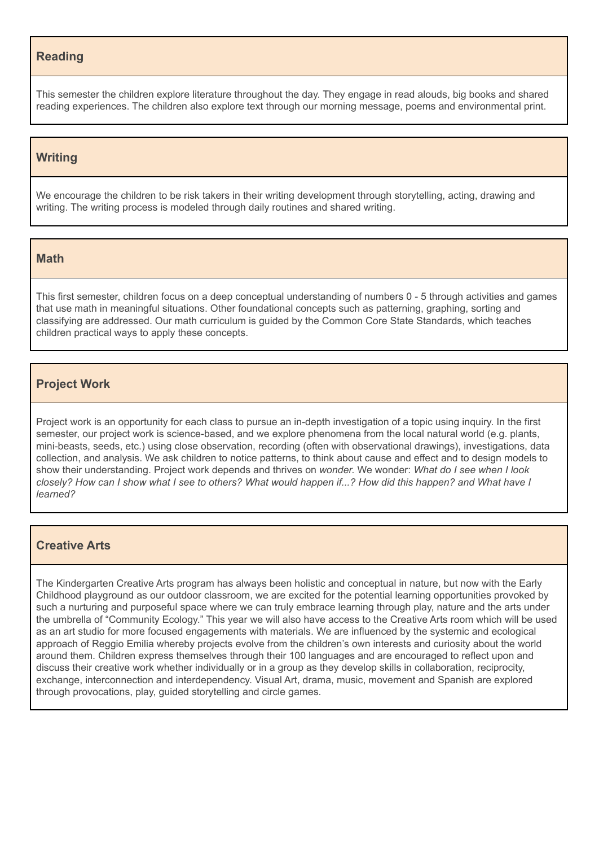#### **Reading**

This semester the children explore literature throughout the day. They engage in read alouds, big books and shared reading experiences. The children also explore text through our morning message, poems and environmental print.

#### **Writing**

We encourage the children to be risk takers in their writing development through storytelling, acting, drawing and writing. The writing process is modeled through daily routines and shared writing.

#### **Math**

This first semester, children focus on a deep conceptual understanding of numbers 0 - 5 through activities and games that use math in meaningful situations. Other foundational concepts such as patterning, graphing, sorting and classifying are addressed. Our math curriculum is guided by the Common Core State Standards, which teaches children practical ways to apply these concepts.

#### **Project Work**

Project work is an opportunity for each class to pursue an in-depth investigation of a topic using inquiry. In the first semester, our project work is science-based, and we explore phenomena from the local natural world (e.g. plants, mini-beasts, seeds, etc.) using close observation, recording (often with observational drawings), investigations, data collection, and analysis. We ask children to notice patterns, to think about cause and effect and to design models to show their understanding. Project work depends and thrives on *wonder.* We wonder: *What do I see when I look* closely? How can I show what I see to others? What would happen if...? How did this happen? and What have I *learned?*

#### **Creative Arts**

The Kindergarten Creative Arts program has always been holistic and conceptual in nature, but now with the Early Childhood playground as our outdoor classroom, we are excited for the potential learning opportunities provoked by such a nurturing and purposeful space where we can truly embrace learning through play, nature and the arts under the umbrella of "Community Ecology." This year we will also have access to the Creative Arts room which will be used as an art studio for more focused engagements with materials. We are influenced by the systemic and ecological approach of Reggio Emilia whereby projects evolve from the children's own interests and curiosity about the world around them. Children express themselves through their 100 languages and are encouraged to reflect upon and discuss their creative work whether individually or in a group as they develop skills in collaboration, reciprocity, exchange, interconnection and interdependency. Visual Art, drama, music, movement and Spanish are explored through provocations, play, guided storytelling and circle games.